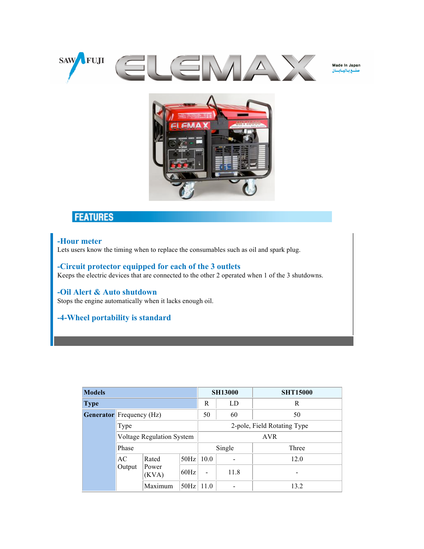

Made In Japan لع فيا للسافينات



## **FEATURES**

## **-Hour meter**

Lets users know the timing when to replace the consumables such as oil and spark plug.

**-Circuit protector equipped for each of the 3 outlets** Keeps the electric devices that are connected to the other 2 operated when 1 of the 3 shutdowns.

**-Oil Alert & Auto shutdown** Stops the engine automatically when it lacks enough oil.

## **-4-Wheel portability is standard**

| <b>Models</b> |                                             |                                  |               |                             | <b>SH13000</b> | <b>SHT15000</b> |  |  |
|---------------|---------------------------------------------|----------------------------------|---------------|-----------------------------|----------------|-----------------|--|--|
| <b>Type</b>   |                                             |                                  |               | R                           | LD             | R               |  |  |
|               | <b>Generator</b> Frequency ( $Hz$ )<br>Type |                                  |               | 50                          | 60             | 50              |  |  |
|               |                                             |                                  |               | 2-pole, Field Rotating Type |                |                 |  |  |
|               |                                             | <b>Voltage Regulation System</b> |               |                             | <b>AVR</b>     |                 |  |  |
|               | Phase                                       |                                  |               | Single                      |                | Three           |  |  |
|               | AC<br>Output                                | Rated<br>Power<br>(KVA)          | $50Hz$   10.0 |                             |                | 12.0            |  |  |
|               |                                             |                                  | 60Hz          |                             | 11.8           |                 |  |  |
|               |                                             | Maximum                          | 50Hz          | 11.0                        |                | 13.2            |  |  |